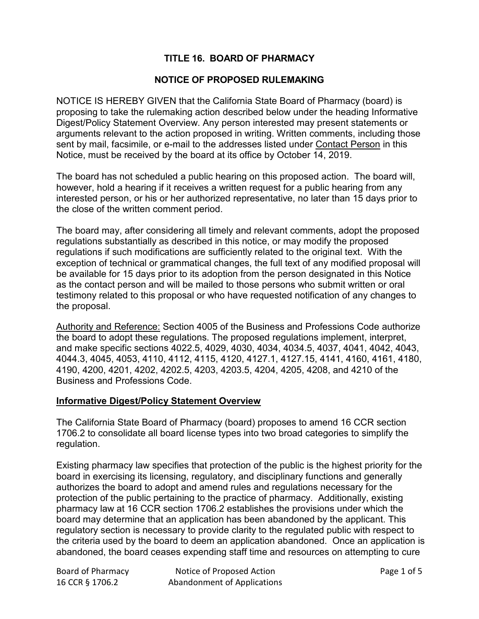# **TITLE 16. BOARD OF PHARMACY**

#### **NOTICE OF PROPOSED RULEMAKING**

NOTICE IS HEREBY GIVEN that the California State Board of Pharmacy (board) is proposing to take the rulemaking action described below under the heading Informative Digest/Policy Statement Overview. Any person interested may present statements or arguments relevant to the action proposed in writing. Written comments, including those sent by mail, facsimile, or e-mail to the addresses listed under Contact Person in this Notice, must be received by the board at its office by October 14, 2019.

The board has not scheduled a public hearing on this proposed action. The board will, however, hold a hearing if it receives a written request for a public hearing from any interested person, or his or her authorized representative, no later than 15 days prior to the close of the written comment period.

The board may, after considering all timely and relevant comments, adopt the proposed regulations substantially as described in this notice, or may modify the proposed regulations if such modifications are sufficiently related to the original text. With the exception of technical or grammatical changes, the full text of any modified proposal will be available for 15 days prior to its adoption from the person designated in this Notice as the contact person and will be mailed to those persons who submit written or oral testimony related to this proposal or who have requested notification of any changes to the proposal.

Authority and Reference: Section 4005 of the Business and Professions Code authorize the board to adopt these regulations. The proposed regulations implement, interpret, and make specific sections 4022.5, 4029, 4030, 4034, 4034.5, 4037, 4041, 4042, 4043, 4044.3, 4045, 4053, 4110, 4112, 4115, 4120, 4127.1, 4127.15, 4141, 4160, 4161, 4180, 4190, 4200, 4201, 4202, 4202.5, 4203, 4203.5, 4204, 4205, 4208, and 4210 of the Business and Professions Code.

#### **Informative Digest/Policy Statement Overview**

The California State Board of Pharmacy (board) proposes to amend 16 CCR section 1706.2 to consolidate all board license types into two broad categories to simplify the regulation.

Existing pharmacy law specifies that protection of the public is the highest priority for the board in exercising its licensing, regulatory, and disciplinary functions and generally authorizes the board to adopt and amend rules and regulations necessary for the protection of the public pertaining to the practice of pharmacy. Additionally, existing pharmacy law at 16 CCR section 1706.2 establishes the provisions under which the board may determine that an application has been abandoned by the applicant. This regulatory section is necessary to provide clarity to the regulated public with respect to the criteria used by the board to deem an application abandoned. Once an application is abandoned, the board ceases expending staff time and resources on attempting to cure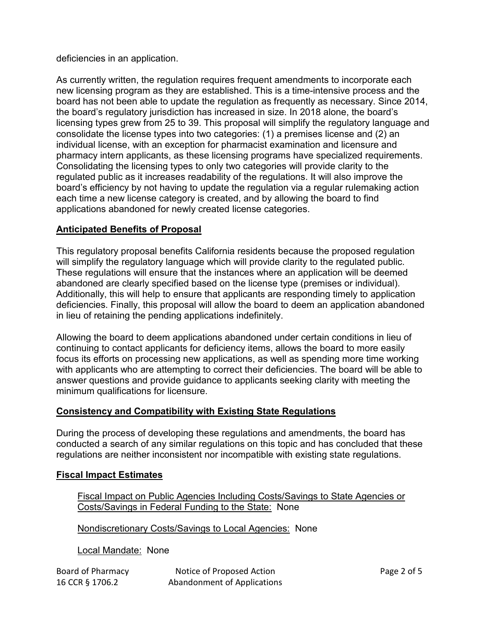deficiencies in an application.

As currently written, the regulation requires frequent amendments to incorporate each new licensing program as they are established. This is a time-intensive process and the board has not been able to update the regulation as frequently as necessary. Since 2014, the board's regulatory jurisdiction has increased in size. In 2018 alone, the board's licensing types grew from 25 to 39. This proposal will simplify the regulatory language and consolidate the license types into two categories: (1) a premises license and (2) an individual license, with an exception for pharmacist examination and licensure and pharmacy intern applicants, as these licensing programs have specialized requirements. Consolidating the licensing types to only two categories will provide clarity to the regulated public as it increases readability of the regulations. It will also improve the board's efficiency by not having to update the regulation via a regular rulemaking action each time a new license category is created, and by allowing the board to find applications abandoned for newly created license categories.

# **Anticipated Benefits of Proposal**

This regulatory proposal benefits California residents because the proposed regulation will simplify the regulatory language which will provide clarity to the regulated public. These regulations will ensure that the instances where an application will be deemed abandoned are clearly specified based on the license type (premises or individual). Additionally, this will help to ensure that applicants are responding timely to application deficiencies. Finally, this proposal will allow the board to deem an application abandoned in lieu of retaining the pending applications indefinitely.

Allowing the board to deem applications abandoned under certain conditions in lieu of continuing to contact applicants for deficiency items, allows the board to more easily focus its efforts on processing new applications, as well as spending more time working with applicants who are attempting to correct their deficiencies. The board will be able to answer questions and provide guidance to applicants seeking clarity with meeting the minimum qualifications for licensure.

# **Consistency and Compatibility with Existing State Regulations**

During the process of developing these regulations and amendments, the board has conducted a search of any similar regulations on this topic and has concluded that these regulations are neither inconsistent nor incompatible with existing state regulations.

# **Fiscal Impact Estimates**

Fiscal Impact on Public Agencies Including Costs/Savings to State Agencies or Costs/Savings in Federal Funding to the State: None

Nondiscretionary Costs/Savings to Local Agencies: None

Local Mandate: None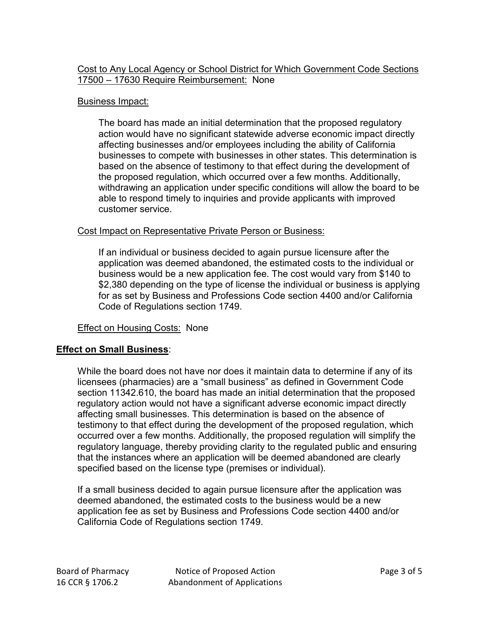## Cost to Any Local Agency or School District for Which Government Code Sections 17500 – 17630 Require Reimbursement: None

# Business Impact:

The board has made an initial determination that the proposed regulatory action would have no significant statewide adverse economic impact directly affecting businesses and/or employees including the ability of California businesses to compete with businesses in other states. This determination is based on the absence of testimony to that effect during the development of the proposed regulation, which occurred over a few months. Additionally, withdrawing an application under specific conditions will allow the board to be able to respond timely to inquiries and provide applicants with improved customer service.

## Cost Impact on Representative Private Person or Business:

If an individual or business decided to again pursue licensure after the application was deemed abandoned, the estimated costs to the individual or business would be a new application fee. The cost would vary from \$140 to \$2,380 depending on the type of license the individual or business is applying for as set by Business and Professions Code section 4400 and/or California Code of Regulations section 1749.

# Effect on Housing Costs: None

# **Effect on Small Business**:

While the board does not have nor does it maintain data to determine if any of its licensees (pharmacies) are a "small business" as defined in Government Code section 11342.610, the board has made an initial determination that the proposed regulatory action would not have a significant adverse economic impact directly affecting small businesses. This determination is based on the absence of testimony to that effect during the development of the proposed regulation, which occurred over a few months. Additionally, the proposed regulation will simplify the regulatory language, thereby providing clarity to the regulated public and ensuring that the instances where an application will be deemed abandoned are clearly specified based on the license type (premises or individual).

If a small business decided to again pursue licensure after the application was deemed abandoned, the estimated costs to the business would be a new application fee as set by Business and Professions Code section 4400 and/or California Code of Regulations section 1749.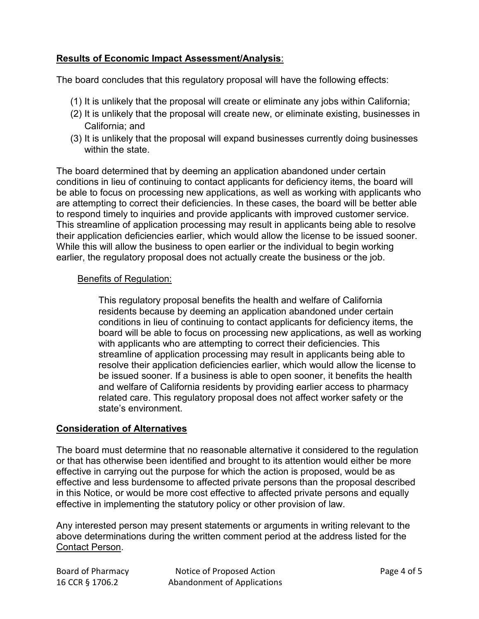# **Results of Economic Impact Assessment/Analysis**:

The board concludes that this regulatory proposal will have the following effects:

- (1) It is unlikely that the proposal will create or eliminate any jobs within California;
- (2) It is unlikely that the proposal will create new, or eliminate existing, businesses in California; and
- (3) It is unlikely that the proposal will expand businesses currently doing businesses within the state.

The board determined that by deeming an application abandoned under certain conditions in lieu of continuing to contact applicants for deficiency items, the board will be able to focus on processing new applications, as well as working with applicants who are attempting to correct their deficiencies. In these cases, the board will be better able to respond timely to inquiries and provide applicants with improved customer service. This streamline of application processing may result in applicants being able to resolve their application deficiencies earlier, which would allow the license to be issued sooner. While this will allow the business to open earlier or the individual to begin working earlier, the regulatory proposal does not actually create the business or the job.

#### Benefits of Regulation:

This regulatory proposal benefits the health and welfare of California residents because by deeming an application abandoned under certain conditions in lieu of continuing to contact applicants for deficiency items, the board will be able to focus on processing new applications, as well as working with applicants who are attempting to correct their deficiencies. This streamline of application processing may result in applicants being able to resolve their application deficiencies earlier, which would allow the license to be issued sooner. If a business is able to open sooner, it benefits the health and welfare of California residents by providing earlier access to pharmacy related care. This regulatory proposal does not affect worker safety or the state's environment.

#### **Consideration of Alternatives**

The board must determine that no reasonable alternative it considered to the regulation or that has otherwise been identified and brought to its attention would either be more effective in carrying out the purpose for which the action is proposed, would be as effective and less burdensome to affected private persons than the proposal described in this Notice, or would be more cost effective to affected private persons and equally effective in implementing the statutory policy or other provision of law.

Any interested person may present statements or arguments in writing relevant to the above determinations during the written comment period at the address listed for the Contact Person.

| Board of Pharmacy |
|-------------------|
| 16 CCR § 1706.2   |

Notice of Proposed Action Notice of Proposed Action Abandonment of Applications